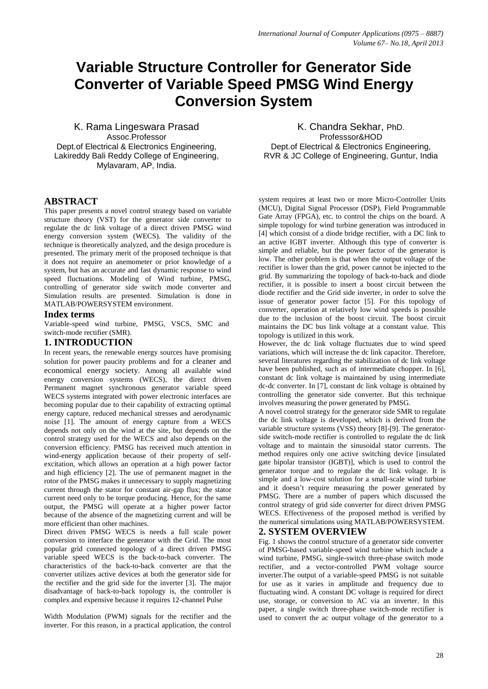# **Variable Structure Controller for Generator Side Converter of Variable Speed PMSG Wind Energy Conversion System**

K. Rama Lingeswara Prasad Assoc.Professor Dept.of Electrical & Electronics Engineering, Lakireddy Bali Reddy College of Engineering, Mylavaram, AP, India.

K. Chandra Sekhar, PhD. Professsor&HOD Dept.of Electrical & Electronics Engineering, RVR & JC College of Engineering, Guntur, India

## **ABSTRACT**

This paper presents a novel control strategy based on variable structure theory (VST) for the generator side converter to regulate the dc link voltage of a direct driven PMSG wind energy conversion system (WECS). The validity of the technique is theoretically analyzed, and the design procedure is presented. The primary merit of the proposed technique is that it does not require an anemometer or prior knowledge of a system, but has an accurate and fast dynamic response to wind speed fluctuations. Modeling of Wind turbine, PMSG, controlling of generator side switch mode converter and Simulation results are presented. Simulation is done in MATLAB/POWERSYSTEM environment.

## **Index terms**

Variable-speed wind turbine, PMSG, VSCS, SMC and switch-mode rectifier (SMR).

#### **1. INTRODUCTION**

In recent years, the renewable energy sources have promising solution for power paucity problems and for a cleaner and economical energy society. Among all available wind energy conversion systems (WECS), the direct driven Permanent magnet synchronous generator variable speed WECS systems integrated with power electronic interfaces are becoming popular due to their capability of extracting optimal energy capture, reduced mechanical stresses and aerodynamic noise [1]. The amount of energy capture from a WECS depends not only on the wind at the site, but depends on the control strategy used for the WECS and also depends on the conversion efficiency. PMSG has received much attention in wind-energy application because of their property of selfexcitation, which allows an operation at a high power factor and high efficiency [2]. The use of permanent magnet in the rotor of the PMSG makes it unnecessary to supply magnetizing current through the stator for constant air-gap flux; the stator current need only to be torque producing. Hence, for the same output, the PMSG will operate at a higher power factor because of the absence of the magnetizing current and will be more efficient than other machines.

Direct driven PMSG WECS is needs a full scale power conversion to interface the generator with the Grid. The most popular grid connected topology of a direct driven PMSG variable speed WECS is the back-to-back converter. The characteristics of the back-to-back converter are that the converter utilizes active devices at both the generator side for the rectifier and the grid side for the inverter [3]. The major disadvantage of back-to-back topology is, the controller is complex and expensive because it requires 12-channel Pulse

Width Modulation (PWM) signals for the rectifier and the inverter. For this reason, in a practical application, the control system requires at least two or more Micro-Controller Units (MCU), Digital Signal Processor (DSP), Field Programmable Gate Array (FPGA), etc. to control the chips on the board. A simple topology for wind turbine generation was introduced in [4] which consist of a diode bridge rectifier, with a DC link to an active IGBT inverter. Although this type of converter is simple and reliable, but the power factor of the generator is low. The other problem is that when the output voltage of the rectifier is lower than the grid, power cannot be injected to the grid. By summarizing the topology of back-to-back and diode rectifier, it is possible to insert a boost circuit between the diode rectifier and the Grid side inverter, in order to solve the issue of generator power factor [5]. For this topology of converter, operation at relatively low wind speeds is possible due to the inclusion of the boost circuit. The boost circuit maintains the DC bus link voltage at a constant value. This topology is utilized in this work.

However, the dc link voltage fluctuates due to wind speed variations, which will increase the dc link capacitor. Therefore, several literatures regarding the stabilization of dc link voltage have been published, such as of intermediate chopper. In [6], constant dc link voltage is maintained by using intermediate dc-dc converter. In [7], constant dc link voltage is obtained by controlling the generator side converter. But this technique involves measuring the power generated by PMSG.

A novel control strategy for the generator side SMR to regulate the dc link voltage is developed, which is derived from the variable structure systems (VSS) theory [8]-[9]. The generatorside switch-mode rectifier is controlled to regulate the dc link voltage and to maintain the sinusoidal stator currents. The method requires only one active switching device [insulated gate bipolar transistor (IGBT)], which is used to control the generator torque and to regulate the dc link voltage. It is simple and a low-cost solution for a small-scale wind turbine and it doesn't require measuring the power generated by PMSG. There are a number of papers which discussed the control strategy of grid side converter for direct driven PMSG WECS. Effectiveness of the proposed method is verified by the numerical simulations using MATLAB/POWERSYSTEM.

## **2. SYSTEM OVERVIEW**

Fig. 1 shows the control structure of a generator side converter of PMSG-based variable-speed wind turbine which include a wind turbine, PMSG, single-switch three-phase switch mode rectifier, and a vector-controlled PWM voltage source inverter.The output of a variable-speed PMSG is not suitable for use as it varies in amplitude and frequency due to fluctuating wind. A constant DC voltage is required for direct use, storage, or conversion to AC via an inverter. In this paper, a single switch three-phase switch-mode rectifier is used to convert the ac output voltage of the generator to a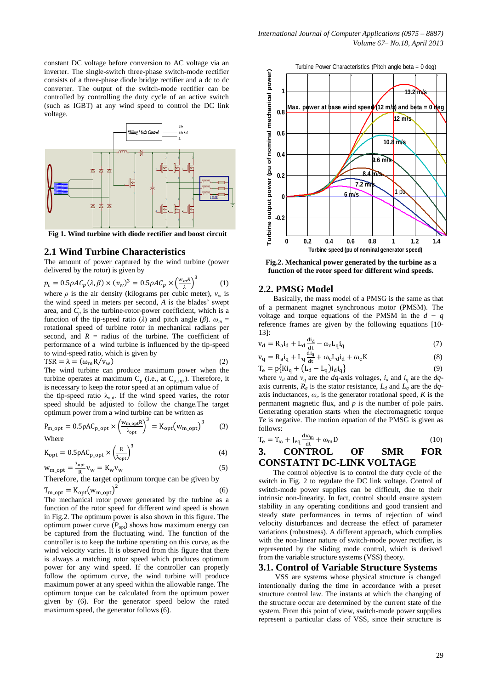constant DC voltage before conversion to AC voltage via an inverter. The single-switch three-phase switch-mode rectifier consists of a three-phase diode bridge rectifier and a dc to dc converter. The output of the switch-mode rectifier can be controlled by controlling the duty cycle of an active switch (such as IGBT) at any wind speed to control the DC link voltage.



**Fig 1. Wind turbine with diode rectifier and boost circuit**

#### **2.1 Wind Turbine Characteristics**

The amount of power captured by the wind turbine (power delivered by the rotor) is given by

$$
p_t = 0.5 \rho A C_p(\lambda, \beta) \times (v_w)^3 = 0.5 \rho A C_p \times \left(\frac{w_m R}{\lambda}\right)^3 \tag{1}
$$

where  $\rho$  is the air density (kilograms per cubic meter),  $v_{\omega}$  is the wind speed in meters per second, *A* is the blades' swept area, and  $C_p$  is the turbine-rotor-power coefficient, which is a function of the tip-speed ratio ( $\lambda$ ) and pitch angle ( $\beta$ ).  $\omega_m$  = rotational speed of turbine rotor in mechanical radians per second, and  $R =$  radius of the turbine. The coefficient of performance of a wind turbine is influenced by the tip-speed to wind-speed ratio, which is given by

$$
\text{TSR} = \lambda = (\omega_{\text{m}} R / v_{\text{w}}) \tag{2}
$$

The wind turbine can produce maximum power when the turbine operates at maximum  $C_p$  (i.e., at  $C_{p\_opt}$ ). Therefore, it is necessary to keep the rotor speed at an optimum value of

the tip-speed ratio  $\lambda_{\text{opt}}$ . If the wind speed varies, the rotor speed should be adjusted to follow the change.The target optimum power from a wind turbine can be written as

$$
P_{m\_opt} = 0.5 \rho A C_{p\_opt} \times \left(\frac{w_{m\_opt}R}{\lambda_{opt}}\right)^3 = K_{opt}(w_{m\_opt})^3 \tag{3}
$$
  
Where

$$
K_{opt} = 0.5 \rho A C_{p\_opt} \times \left(\frac{R}{\lambda_{opt}}\right)^3
$$
(4)

$$
W_{\text{m\_opt}} = \frac{\omega_{\text{opt}}}{R} V_{\text{w}} = K_{\text{w}} V_{\text{w}}
$$
 (5)

Therefore, the target optimum torque can be given by  $T_{\text{m} \text{ out}} = K_{\text{opt}}(w_{\text{m} \text{ out}})$  $\overline{c}$ (6)

The mechanical rotor power generated by the turbine as a function of the rotor speed for different wind speed is shown in Fig.2. The optimum power is also shown in this figure. The optimum power curve  $(P_{\text{opt}})$  shows how maximum energy can be captured from the fluctuating wind. The function of the controller is to keep the turbine operating on this curve, as the wind velocity varies. It is observed from this figure that there is always a matching rotor speed which produces optimum power for any wind speed. If the controller can properly follow the optimum curve, the wind turbine will produce maximum power at any speed within the allowable range. The optimum torque can be calculated from the optimum power given by (6). For the generator speed below the rated maximum speed, the generator follows (6).



**Fig.2. Mechanical power generated by the turbine as a function of the rotor speed for different wind speeds.**

#### **2.2. PMSG Model**

Basically, the mass model of a PMSG is the same as that of a permanent magnet synchronous motor (PMSM). The voltage and torque equations of the PMSM in the *d − q*  reference frames are given by the following equations [10- 13]:

$$
v_d = R_a i_d + L_d \frac{di_d}{dt} - \omega_c L_q i_q \tag{7}
$$

$$
v_q = R_a i_q + L_q \frac{u_q}{dt} + \omega_c L_d i_d + \omega_c K
$$
  
\n
$$
T_e = p\{Ki_q + (L_d - L_q)i_d i_q\}
$$
\n(8)

where  $v_d$  and  $v_q$  are the *dq*-axis voltages,  $i_d$  and  $i_q$  are the *dq*axis currents,  $R_a$  is the stator resistance,  $L_d$  and  $L_q$  are the  $dq$ axis inductances,  $\omega_e$  is the generator rotational speed, *K* is the permanent magnetic flux, and *p* is the number of pole pairs. Generating operation starts when the electromagnetic torque *Te* is negative. The motion equation of the PMSG is given as follows:

$$
T_e = T_{\omega} + J_{eq} \frac{d\omega_m}{dt} + \omega_m D \tag{10}
$$

**3. CONTROL OF SMR FOR CONSTATNT DC-LINK VOLTAGE**

The control objective is to control the duty cycle of the switch in Fig. 2 to regulate the DC link voltage. Control of switch-mode power supplies can be difficult, due to their intrinsic non-linearity. In fact, control should ensure system stability in any operating conditions and good transient and steady state performances in terms of rejection of wind velocity disturbances and decrease the effect of parameter variations (robustness). A different approach, which complies with the non-linear nature of switch-mode power rectifier, is represented by the sliding mode control, which is derived from the variable structure systems (VSS) theory.

#### **3.1. Control of Variable Structure Systems**

 VSS are systems whose physical structure is changed intentionally during the time in accordance with a preset structure control law. The instants at which the changing of the structure occur are determined by the current state of the system. From this point of view, switch-mode power supplies represent a particular class of VSS, since their structure is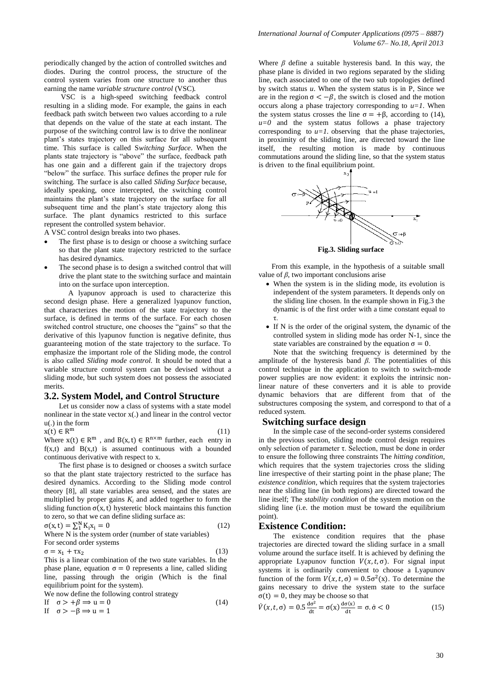periodically changed by the action of controlled switches and diodes. During the control process, the structure of the control system varies from one structure to another thus earning the name *variable structure control* (VSC)*.*

VSC is a high-speed switching feedback control resulting in a sliding mode. For example, the gains in each feedback path switch between two values according to a rule that depends on the value of the state at each instant. The purpose of the switching control law is to drive the nonlinear plant's states trajectory on this surface for all subsequent time. This surface is called S*witching Surface*. When the plants state trajectory is "above" the surface, feedback path has one gain and a different gain if the trajectory drops "below" the surface. This surface defines the proper rule for switching. The surface is also called *Sliding Surface* because, ideally speaking, once intercepted, the switching control maintains the plant's state trajectory on the surface for all subsequent time and the plant's state trajectory along this surface. The plant dynamics restricted to this surface represent the controlled system behavior.

A VSC control design breaks into two phases.

- The first phase is to design or choose a switching surface so that the plant state trajectory restricted to the surface has desired dynamics.
- The second phase is to design a switched control that will drive the plant state to the switching surface and maintain into on the surface upon interception.

 A lyapunov approach is used to characterize this second design phase. Here a generalized lyapunov function, that characterizes the motion of the state trajectory to the surface, is defined in terms of the surface. For each chosen switched control structure, one chooses the "gains" so that the derivative of this lyapunov function is negative definite, thus guaranteeing motion of the state trajectory to the surface. To emphasize the important role of the Sliding mode, the control is also called *Sliding mode control.* It should be noted that a variable structure control system can be devised without a sliding mode, but such system does not possess the associated merits.

#### **3.2. System Model, and Control Structure**

Let us consider now a class of systems with a state model nonlinear in the state vector x(.) and linear in the control vector u(.) in the form

$$
x(t) \in R^m \tag{11}
$$

Where  $x(t) \in R^m$ , and  $B(x, t) \in R^{n \times m}$  further, each entry in  $f(x,t)$  and  $B(x,t)$  is assumed continuous with a bounded continuous derivative with respect to x.

The first phase is to designed or chooses a switch surface so that the plant state trajectory restricted to the surface has desired dynamics. According to the Sliding mode control theory [8], all state variables area sensed, and the states are multiplied by proper gains  $K_i$  and added together to form the sliding function  $\sigma(x, t)$  hysteretic block maintains this function to zero, so that we can define sliding surface as:

$$
\sigma(x, t) = \sum_{i=1}^{N} K_i x_i = 0 \tag{12}
$$

Where N is the system order (number of state variables) For second order systems

$$
\sigma = \mathbf{x}_1 + \tau \mathbf{x}_2 \tag{13}
$$

This is a linear combination of the two state variables. In the phase plane, equation  $\sigma = 0$  represents a line, called sliding line, passing through the origin (Which is the final equilibrium point for the system).

We now define the following control strategy

If 
$$
\sigma > +\beta \Rightarrow u = 0
$$
 (14)  
If  $\sigma > -\beta \Rightarrow u = 1$ 

Where *β* define a suitable hysteresis band. In this way, the phase plane is divided in two regions separated by the sliding line, each associated to one of the two sub topologies defined by switch status *u*. When the system status is in P, Since we are in the region  $\sigma < -\beta$ , the switch is closed and the motion occurs along a phase trajectory corresponding to  $u=1$ . When the system status crosses the line  $\sigma = +\beta$ , according to (14),  $u=0$  and the system status follows a phase trajectory corresponding to  $u=1$ , observing that the phase trajectories, in proximity of the sliding line, are directed toward the line itself, the resulting motion is made by continuous commutations around the sliding line, so that the system status is driven to the final equilibrium point.

*International Journal of Computer Applications (0975 – 8887)*



**Fig.3. Sliding surface**

From this example, in the hypothesis of a suitable small value of *β*, two important conclusions arise

- When the system is in the sliding mode, its evolution is independent of the system parameters. It depends only on the sliding line chosen. In the example shown in Fig.3 the dynamic is of the first order with a time constant equal to τ.
- If N is the order of the original system, the dynamic of the controlled system in sliding mode has order N-1, since the state variables are constrained by the equation  $\sigma = 0$ .

Note that the switching frequency is determined by the amplitude of the hysteresis band  $\beta$ . The potentialities of this control technique in the application to switch to switch-mode power supplies are now evident: it exploits the intrinsic nonlinear nature of these converters and it is able to provide dynamic behaviors that are different from that of the substructures composing the system, and correspond to that of a reduced system.

#### **Switching surface design**

In the simple case of the second-order systems considered in the previous section, sliding mode control design requires only selection of parameter τ. Selection, must be done in order to ensure the following three constraints The *hitting condition*, which requires that the system trajectories cross the sliding line irrespective of their starting point in the phase plane; The *existence condition*, which requires that the system trajectories near the sliding line (in both regions) are directed toward the line itself; The *stability condition* of the system motion on the sliding line (i.e. the motion must be toward the equilibrium point).

#### **Existence Condition:**

The existence condition requires that the phase trajectories are directed toward the sliding surface in a small volume around the surface itself. It is achieved by defining the appropriate Lyapunov function  $V(x, t, \sigma)$ . For signal input systems it is ordinarily convenient to choose a Lyapunov function of the form  $V(x, t, \sigma) = 0.5\sigma^2(x)$ . To determine the gains necessary to drive the system state to the surface  $\sigma(t) = 0$ , they may be choose so that

$$
\dot{V}(x,t,\sigma) = 0.5 \frac{d\sigma^2}{dt} = \sigma(x) \frac{d\sigma(x)}{dt} = \sigma \dot{\sigma} < 0 \tag{15}
$$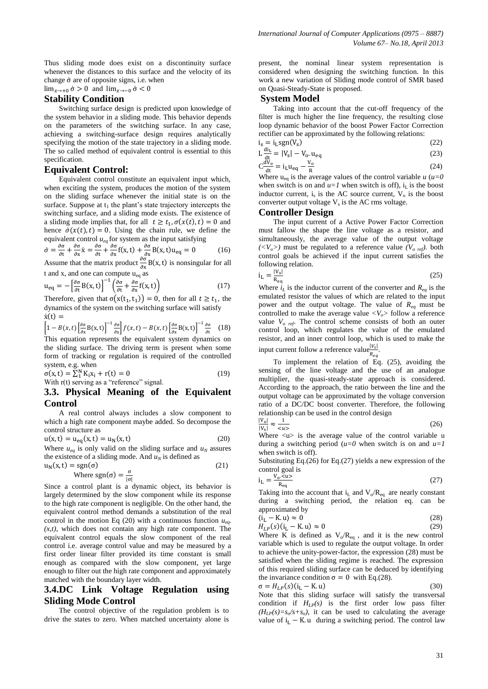Thus sliding mode does exist on a discontinuity surface whenever the distances to this surface and the velocity of its change  $\dot{\sigma}$  are of opposite signs, i.e. when

 $\lim_{x\to 0} \dot{\sigma} > 0$  and  $\lim_{x\to 0} \dot{\sigma} < 0$ 

## **Stability Condition**

Switching surface design is predicted upon knowledge of the system behavior in a sliding mode. This behavior depends on the parameters of the switching surface. In any case, achieving a switching-surface design requires analytically specifying the motion of the state trajectory in a sliding mode. The so called method of equivalent control is essential to this specification.

#### **Equivalent Control:**

Equivalent control constitute an equivalent input which, when exciting the system, produces the motion of the system on the sliding surface whenever the initial state is on the surface. Suppose at  $t_1$  the plant's state trajectory intercepts the switching surface, and a sliding mode exists. The existence of a sliding mode implies that, for all  $t \ge t_1$ ,  $\sigma(x(t), t) = 0$  and hence  $\dot{\sigma}(x(t), t) = 0$ . Using the chain rule, we define the equivalent control  $u_{ee}$  for system as the input satisfying

$$
\dot{\sigma} = \frac{\partial \sigma}{\partial t} + \frac{\partial \sigma}{\partial x} \dot{x} = \frac{\partial \sigma}{\partial t} + \frac{\partial \sigma}{\partial x} f(x, t) + \frac{\partial \sigma}{\partial x} B(x, t) u_{eq} = 0 \qquad (16)
$$

Assume that the matrix product  $\frac{\partial}{\partial x} B(x, t)$  is nonsingular for all t and x, and one can compute  $u_{eq}$  as

$$
\mathbf{u}_{\text{eq}} = -\left[\frac{\partial \sigma}{\partial \mathbf{t}} \mathbf{B}(\mathbf{x}, \mathbf{t})\right]^{-1} \left(\frac{\partial \sigma}{\partial \mathbf{t}} + \frac{\partial \sigma}{\partial \mathbf{x}} \mathbf{f}(\mathbf{x}, \mathbf{t})\right) \tag{17}
$$

Therefore, given that  $\sigma(x(t_1, t_1)) = 0$ , then for all  $t \ge t_1$ , the dynamics of the system on the switching surface will satisfy  $\dot{x}(t) =$ 

$$
\left[1 - B(x,t) \left[\frac{\partial \sigma}{\partial x} B(x,t)\right]^{-1} \frac{\partial \sigma}{\partial x}\right] f(x,t) - B(x,t) \left[\frac{\partial \sigma}{\partial x} B(x,t)\right]^{-1} \frac{\partial \sigma}{\partial t} \tag{18}
$$

This equation represents the equivalent system dynamics on the sliding surface. The driving term is present when some form of tracking or regulation is required of the controlled system, e.g. when

$$
\sigma(x, t) = \sum_{1}^{N} K_{i}x_{i} + r(t) = 0
$$
\nWith  $r(t)$  serving as a "reference" signal.

\n(19)

## **3.3. Physical Meaning of the Equivalent Control**

A real control always includes a slow component to which a high rate component maybe added. So decompose the control structure as

$$
u(x, t) = u_{eq}(x, t) = u_N(x, t)
$$
 (20)

Where  $u_{eq}$  is only valid on the sliding surface and  $u_N$  assures the existence of a sliding mode. And  $u_N$  is defined as

$$
u_N(x, t) = sgn(\sigma)
$$
  
Where sgn(\sigma) =  $\frac{\sigma}{|\sigma|}$  (21)

Since a control plant is a dynamic object, its behavior is largely determined by the slow component while its response to the high rate component is negligible. On the other hand, the equivalent control method demands a substitution of the real control in the motion Eq (20) with a continuous function *ueq- (x,t)*, which does not contain any high rate component. The equivalent control equals the slow component of the real control i.e. average control value and may be measured by a first order linear filter provided its time constant is small enough as compared with the slow component, yet large enough to filter out the high rate component and approximately matched with the boundary layer width.

## **3.4.DC Link Voltage Regulation using Sliding Mode Control**

The control objective of the regulation problem is to drive the states to zero. When matched uncertainty alone is present, the nominal linear system representation is considered when designing the switching function. In this work a new variation of Sliding mode control of SMR based on Quasi-Steady-State is proposed.

#### **System Model**

Taking into account that the cut-off frequency of the filter is much higher the line frequency, the resulting close loop dynamic behavior of the boost Power Factor Correction rectifier can be approximated by the following relations:

$$
i_s = i_L sgn(V_s)
$$
\n
$$
i_d = i_L J L U L U L V (23)
$$
\n(22)

$$
L\frac{du_L}{dt} = |V_s| - V_o \cdot u_{eq}
$$
\n
$$
C\frac{dv_o}{dt} = \frac{V_o}{V_o} \tag{24}
$$

 $C^{\underline{d}}$ d  $\frac{v_0}{R}$  (24) Where  $u_{eq}$  is the average values of the control variable  $u (u=0)$ 

when switch is on and  $u=1$  when switch is off),  $i<sub>L</sub>$  is the boost inductor current,  $i_s$  is the AC source current,  $V_o$  is the boost converter output voltage  $V_s$  is the AC rms voltage.

## **Controller Design**

The input current of a Active Power Factor Correction must fallow the shape the line voltage as a resistor, and simultaneously, the average value of the output voltage  $(\langle V_o \rangle)$  must be regulated to a reference value  $(V_{o,ref})$ . both control goals be achieved if the input current satisfies the following relation.

$$
i_{\rm L} = \frac{|V_{\rm s}|}{R_{\rm eq}}\tag{25}
$$

Where  $i_L$  is the inductor current of the converter and  $R_{eq}$  is the emulated resistor the values of which are related to the input power and the output voltage. The value of *Req* must be controlled to make the average value  $\langle V_o \rangle$  follow a reference value  $V_{o, ref}$ . The control scheme consists of both an outer control loop, which regulates the value of the emulated resistor, and an inner control loop, which is used to make the input current follow a reference value $\frac{|V_s|}{r}$  $\frac{|v_{S}|}{R_{eq}}$ .

To implement the relation of Eq. (25), avoiding the sensing of the line voltage and the use of an analogue multiplier, the quasi-steady-state approach is considered. According to the approach, the ratio between the line and the output voltage can be approximated by the voltage conversion ratio of a DC/DC boost converter. Therefore, the following relationship can be used in the control design

$$
\frac{|V_0|}{|V_s|} \approx \frac{1}{\langle u \rangle} \tag{26}
$$

Where  $\langle u \rangle$  is the average value of the control variable u during a switching period  $(u=0$  when switch is on and  $u=1$ when switch is off).

Substituting Eq.(26) for Eq.(27) yields a new expression of the control goal is

$$
i_{\rm L} = \frac{V_o \cdot \overline{\alpha} \cdot \overline{\alpha}}{R_{\rm eq}} \tag{27}
$$

Taking into the account that  $i_L$  and  $V_o/R_{eq}$  are nearly constant during a switching period, the relation eq. can be approximated by

$$
\langle i_L - K, u \rangle \approx 0 \tag{28}
$$
\n
$$
H_{\text{tot}}(\alpha)(i - K, u) \approx 0 \tag{29}
$$

 $H_{LP}(s)(i_L - K u) \approx 0$ Where K is defined as  $V_0/R_{eq}$ , and it is the new control variable which is used to regulate the output voltage. In order

to achieve the unity-power-factor, the expression (28) must be satisfied when the sliding regime is reached. The expression of this required sliding surface can be deduced by identifying the invariance condition  $\sigma = 0$  with Eq.(28).

 $\sigma = H_{LP}(s)(i_L - K \cdot u)$  (30) Note that this sliding surface will satisfy the transversal condition if  $H_{LP}(s)$  is the first order low pass filter  $(H_{LP}(s) = s_o/s + s_o)$ , it can be used to calculating the average value of  $i_L - K$ . u during a switching period. The control law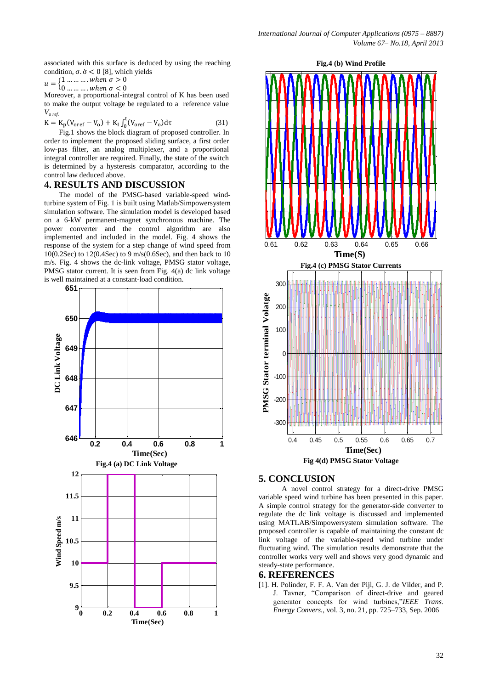associated with this surface is deduced by using the reaching condition,  $\sigma \dot{\sigma} < 0$  [8], which yields

$$
u = \begin{cases} 1 & \dots & \dots & \text{when } \sigma > 0 \\ 0 & \dots & \dots & \text{when } \sigma < 0 \end{cases}
$$

Moreover, a proportional-integral control of K has been used to make the output voltage be regulated to a reference value *Vo ref.*

$$
K = K_{p}(V_{\text{oref}} - V_{o}) + K_{I} \int_{0}^{t} (V_{\text{oref}} - V_{o}) d\tau
$$
\n(31)

Fig.1 shows the block diagram of proposed controller. In order to implement the proposed sliding surface, a first order low-pas filter, an analog multiplexer, and a proportional integral controller are required. Finally, the state of the switch is determined by a hysteresis comparator, according to the control law deduced above.

## **4. RESULTS AND DISCUSSION**

The model of the PMSG-based variable-speed windturbine system of Fig. 1 is built using Matlab/Simpowersystem simulation software. The simulation model is developed based on a 6-kW permanent-magnet synchronous machine. The power converter and the control algorithm are also implemented and included in the model. Fig. 4 shows the response of the system for a step change of wind speed from 10(0.2Sec) to 12(0.4Sec) to 9 m/s(0.6Sec), and then back to 10 m/s. Fig. 4 shows the dc-link voltage, PMSG stator voltage, PMSG stator current. It is seen from Fig. 4(a) dc link voltage is well maintained at a constant-load condition.





## **5. CONCLUSION**

A novel control strategy for a direct-drive PMSG variable speed wind turbine has been presented in this paper. A simple control strategy for the generator-side converter to regulate the dc link voltage is discussed and implemented using MATLAB/Simpowersystem simulation software. The proposed controller is capable of maintaining the constant dc link voltage of the variable-speed wind turbine under fluctuating wind. The simulation results demonstrate that the controller works very well and shows very good dynamic and steady-state performance.

#### **6. REFERENCES**

[1]. H. Polinder, F. F. A. Van der Pijl, G. J. de Vilder, and P. J. Tavner, "Comparison of direct-drive and geared generator concepts for wind turbines,"*IEEE Trans. Energy Convers.*, vol. 3, no. 21, pp. 725–733, Sep. 2006